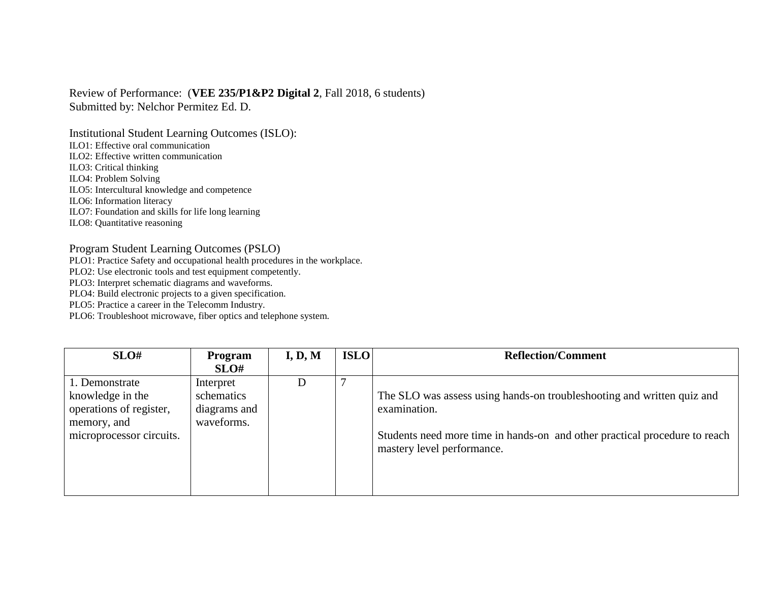## Review of Performance: (**VEE 235/P1&P2 Digital 2**, Fall 2018, 6 students) Submitted by: Nelchor Permitez Ed. D.

Institutional Student Learning Outcomes (ISLO):

ILO1: Effective oral communication

ILO2: Effective written communication

ILO3: Critical thinking

ILO4: Problem Solving

ILO5: Intercultural knowledge and competence

ILO6: Information literacy

ILO7: Foundation and skills for life long learning

ILO8: Quantitative reasoning

## Program Student Learning Outcomes (PSLO)

PLO1: Practice Safety and occupational health procedures in the workplace.

PLO2: Use electronic tools and test equipment competently.

PLO3: Interpret schematic diagrams and waveforms.

PLO4: Build electronic projects to a given specification.

PLO5: Practice a career in the Telecomm Industry.

PLO6: Troubleshoot microwave, fiber optics and telephone system.

| SLO#                                                                                                     | Program<br>SLO#                                       | I, D, M | <b>ISLO</b> | <b>Reflection/Comment</b>                                                                                                                                                                          |
|----------------------------------------------------------------------------------------------------------|-------------------------------------------------------|---------|-------------|----------------------------------------------------------------------------------------------------------------------------------------------------------------------------------------------------|
| 1. Demonstrate<br>knowledge in the<br>operations of register,<br>memory, and<br>microprocessor circuits. | Interpret<br>schematics<br>diagrams and<br>waveforms. | D       |             | The SLO was assess using hands-on troubleshooting and written quiz and<br>examination.<br>Students need more time in hands-on and other practical procedure to reach<br>mastery level performance. |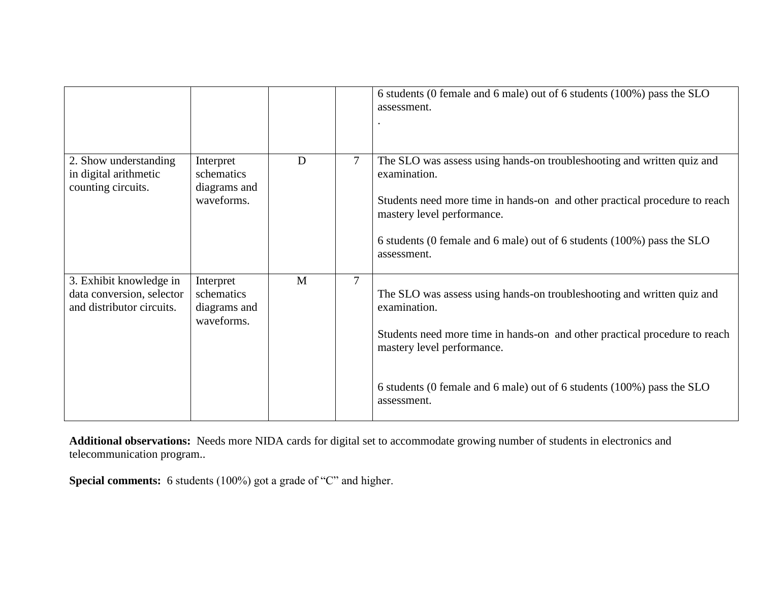|                                                                                   |                                                       |   |        | 6 students (0 female and 6 male) out of 6 students (100%) pass the SLO<br>assessment.                                                                                                                                                                                                       |
|-----------------------------------------------------------------------------------|-------------------------------------------------------|---|--------|---------------------------------------------------------------------------------------------------------------------------------------------------------------------------------------------------------------------------------------------------------------------------------------------|
| 2. Show understanding<br>in digital arithmetic<br>counting circuits.              | Interpret<br>schematics<br>diagrams and<br>waveforms. | D | $\tau$ | The SLO was assess using hands-on troubleshooting and written quiz and<br>examination.<br>Students need more time in hands-on and other practical procedure to reach<br>mastery level performance.<br>6 students (0 female and 6 male) out of 6 students (100%) pass the SLO<br>assessment. |
| 3. Exhibit knowledge in<br>data conversion, selector<br>and distributor circuits. | Interpret<br>schematics<br>diagrams and<br>waveforms. | M | $\tau$ | The SLO was assess using hands-on troubleshooting and written quiz and<br>examination.<br>Students need more time in hands-on and other practical procedure to reach<br>mastery level performance.<br>6 students (0 female and 6 male) out of 6 students (100%) pass the SLO<br>assessment. |

**Additional observations:** Needs more NIDA cards for digital set to accommodate growing number of students in electronics and telecommunication program..

**Special comments:** 6 students (100%) got a grade of "C" and higher.